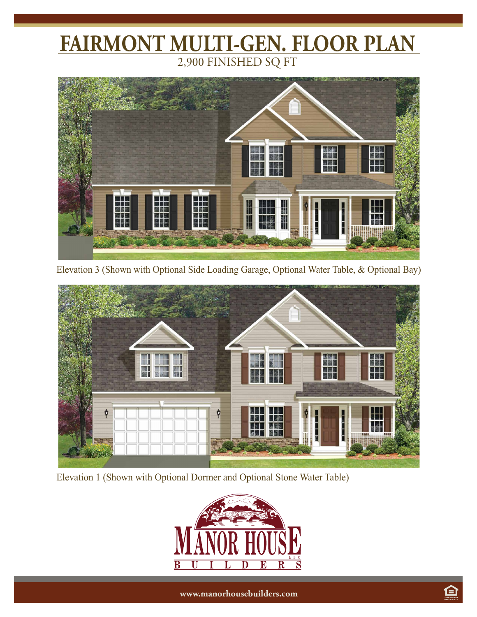## **FAIRMONT MULTI-GEN. FLOOR PLAN** 2,900 FINISHED SQ FT



Elevation 3 (Shown with Optional Side Loading Garage, Optional Water Table, & Optional Bay)



Elevation 1 (Shown with Optional Dormer and Optional Stone Water Table)